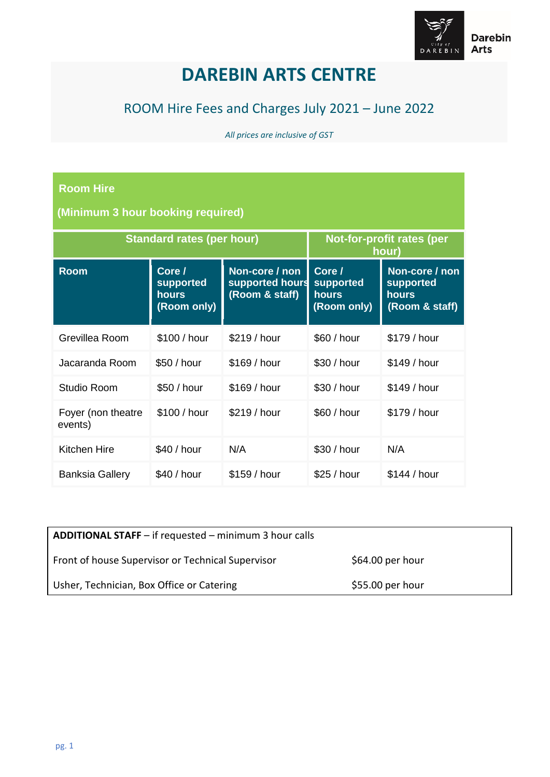

## **DAREBIN ARTS CENTRE**

## ROOM Hire Fees and Charges July 2021 – June 2022

*All prices are inclusive of GST*

## **Room Hire**

**(Minimum 3 hour booking required)**

| <b>Standard rates (per hour)</b> |                                                    |                                                     | Not-for-profit rates (per<br>hour)          |                                                        |
|----------------------------------|----------------------------------------------------|-----------------------------------------------------|---------------------------------------------|--------------------------------------------------------|
| <b>Room</b>                      | Core /<br>supported<br><b>hours</b><br>(Room only) | Non-core / non<br>supported hours<br>(Room & staff) | Core /<br>supported<br>hours<br>(Room only) | Non-core / non<br>supported<br>hours<br>(Room & staff) |
| Grevillea Room                   | \$100 / hour                                       | \$219 / hour                                        | \$60 / hour                                 | \$179 / hour                                           |
| Jacaranda Room                   | \$50 / hour                                        | \$169 / hour                                        | \$30 / hour                                 | \$149/hour                                             |
| Studio Room                      | \$50 / hour                                        | \$169 / hour                                        | \$30 / hour                                 | \$149 / hour                                           |
| Foyer (non theatre<br>events)    | \$100 / hour                                       | \$219 / hour                                        | \$60 / hour                                 | \$179 / hour                                           |
| Kitchen Hire                     | \$40 / hour                                        | N/A                                                 | \$30 / hour                                 | N/A                                                    |
| <b>Banksia Gallery</b>           | \$40/hour                                          | \$159/hour                                          | \$25/hour                                   | \$144 / hour                                           |

| <b>ADDITIONAL STAFF</b> – if requested – minimum 3 hour calls |                   |
|---------------------------------------------------------------|-------------------|
| Front of house Supervisor or Technical Supervisor             | \$64.00 per hour  |
| Usher, Technician, Box Office or Catering                     | $$55.00$ per hour |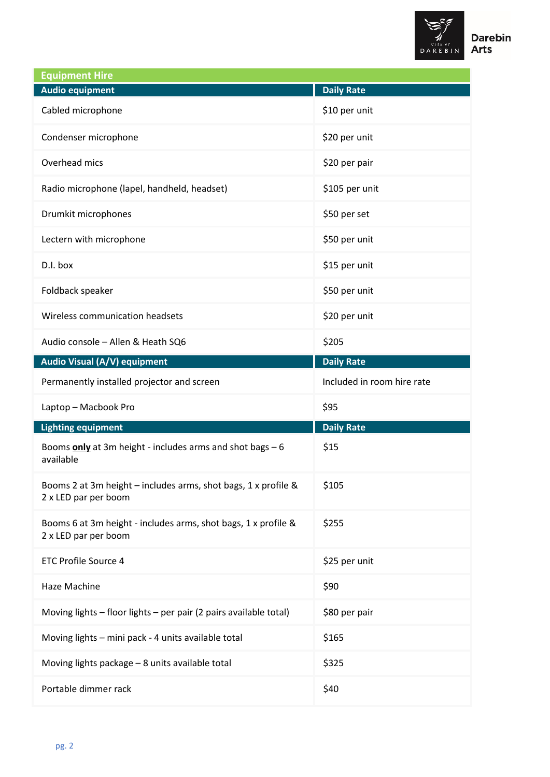

| <b>Equipment Hire</b>                                                                  |                            |
|----------------------------------------------------------------------------------------|----------------------------|
| <b>Audio equipment</b>                                                                 | <b>Daily Rate</b>          |
| Cabled microphone                                                                      | \$10 per unit              |
| Condenser microphone                                                                   | \$20 per unit              |
| Overhead mics                                                                          | \$20 per pair              |
| Radio microphone (lapel, handheld, headset)                                            | \$105 per unit             |
| Drumkit microphones                                                                    | \$50 per set               |
| Lectern with microphone                                                                | \$50 per unit              |
| D.I. box                                                                               | \$15 per unit              |
| Foldback speaker                                                                       | \$50 per unit              |
| Wireless communication headsets                                                        | \$20 per unit              |
| Audio console - Allen & Heath SQ6                                                      | \$205                      |
| Audio Visual (A/V) equipment                                                           | <b>Daily Rate</b>          |
| Permanently installed projector and screen                                             | Included in room hire rate |
| Laptop - Macbook Pro                                                                   | \$95                       |
| <b>Lighting equipment</b>                                                              | <b>Daily Rate</b>          |
| Booms only at 3m height - includes arms and shot bags - 6<br>available                 | \$15                       |
| Booms 2 at 3m height - includes arms, shot bags, 1 x profile &<br>2 x LED par per boom | \$105                      |
| Booms 6 at 3m height - includes arms, shot bags, 1 x profile &<br>2 x LED par per boom | \$255                      |
| <b>ETC Profile Source 4</b>                                                            | \$25 per unit              |
| Haze Machine                                                                           | \$90                       |
| Moving lights - floor lights - per pair (2 pairs available total)                      | \$80 per pair              |
| Moving lights - mini pack - 4 units available total                                    | \$165                      |
| Moving lights package - 8 units available total                                        | \$325                      |
| Portable dimmer rack                                                                   | \$40                       |